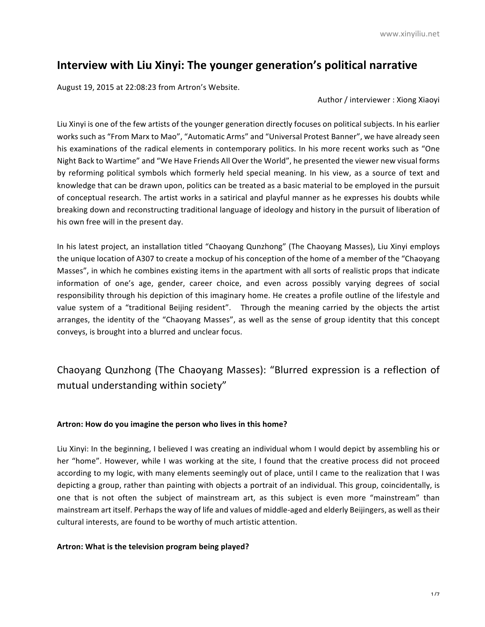# **Interview with Liu Xinyi: The younger generation's political narrative**

August 19, 2015 at 22:08:23 from Artron's Website.

Author / interviewer : Xiong Xiaoyi

Liu Xinyi is one of the few artists of the younger generation directly focuses on political subjects. In his earlier works such as "From Marx to Mao", "Automatic Arms" and "Universal Protest Banner", we have already seen his examinations of the radical elements in contemporary politics. In his more recent works such as "One Night Back to Wartime" and "We Have Friends All Over the World", he presented the viewer new visual forms by reforming political symbols which formerly held special meaning. In his view, as a source of text and knowledge that can be drawn upon, politics can be treated as a basic material to be employed in the pursuit of conceptual research. The artist works in a satirical and playful manner as he expresses his doubts while breaking down and reconstructing traditional language of ideology and history in the pursuit of liberation of his own free will in the present day.

In his latest project, an installation titled "Chaoyang Qunzhong" (The Chaoyang Masses), Liu Xinyi employs the unique location of A307 to create a mockup of his conception of the home of a member of the "Chaoyang Masses", in which he combines existing items in the apartment with all sorts of realistic props that indicate information of one's age, gender, career choice, and even across possibly varying degrees of social responsibility through his depiction of this imaginary home. He creates a profile outline of the lifestyle and value system of a "traditional Beijing resident". Through the meaning carried by the objects the artist arranges, the identity of the "Chaoyang Masses", as well as the sense of group identity that this concept conveys, is brought into a blurred and unclear focus.

# Chaoyang Qunzhong (The Chaoyang Masses): "Blurred expression is a reflection of mutual understanding within society"

### Artron: How do you imagine the person who lives in this home?

Liu Xinyi: In the beginning, I believed I was creating an individual whom I would depict by assembling his or her "home". However, while I was working at the site, I found that the creative process did not proceed according to my logic, with many elements seemingly out of place, until I came to the realization that I was depicting a group, rather than painting with objects a portrait of an individual. This group, coincidentally, is one that is not often the subject of mainstream art, as this subject is even more "mainstream" than mainstream art itself. Perhaps the way of life and values of middle-aged and elderly Beijingers, as well as their cultural interests, are found to be worthy of much artistic attention.

### Artron: What is the television program being played?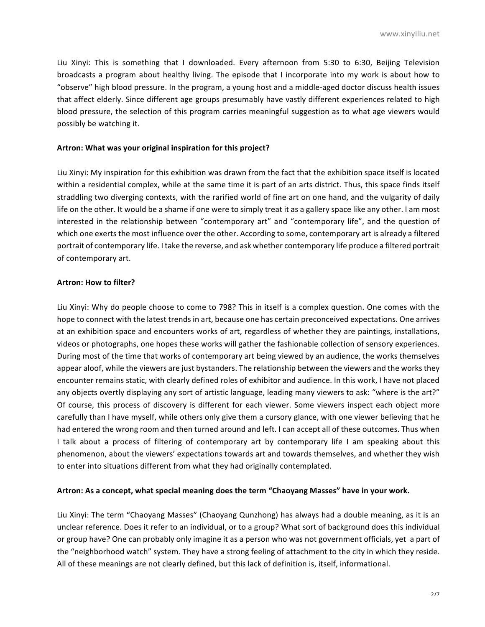Liu Xinyi: This is something that I downloaded. Every afternoon from 5:30 to 6:30, Beijing Television broadcasts a program about healthy living. The episode that I incorporate into my work is about how to "observe" high blood pressure. In the program, a young host and a middle-aged doctor discuss health issues that affect elderly. Since different age groups presumably have vastly different experiences related to high blood pressure, the selection of this program carries meaningful suggestion as to what age viewers would possibly be watching it.

### Artron: What was your original inspiration for this project?

Liu Xinyi: My inspiration for this exhibition was drawn from the fact that the exhibition space itself is located within a residential complex, while at the same time it is part of an arts district. Thus, this space finds itself straddling two diverging contexts, with the rarified world of fine art on one hand, and the vulgarity of daily life on the other. It would be a shame if one were to simply treat it as a gallery space like any other. I am most interested in the relationship between "contemporary art" and "contemporary life", and the question of which one exerts the most influence over the other. According to some, contemporary art is already a filtered portrait of contemporary life. I take the reverse, and ask whether contemporary life produce a filtered portrait of contemporary art.

#### Artron: How to filter?

Liu Xinyi: Why do people choose to come to 798? This in itself is a complex question. One comes with the hope to connect with the latest trends in art, because one has certain preconceived expectations. One arrives at an exhibition space and encounters works of art, regardless of whether they are paintings, installations, videos or photographs, one hopes these works will gather the fashionable collection of sensory experiences. During most of the time that works of contemporary art being viewed by an audience, the works themselves appear aloof, while the viewers are just bystanders. The relationship between the viewers and the works they encounter remains static, with clearly defined roles of exhibitor and audience. In this work, I have not placed any objects overtly displaying any sort of artistic language, leading many viewers to ask: "where is the art?" Of course, this process of discovery is different for each viewer. Some viewers inspect each object more carefully than I have myself, while others only give them a cursory glance, with one viewer believing that he had entered the wrong room and then turned around and left. I can accept all of these outcomes. Thus when I talk about a process of filtering of contemporary art by contemporary life I am speaking about this phenomenon, about the viewers' expectations towards art and towards themselves, and whether they wish to enter into situations different from what they had originally contemplated.

#### Artron: As a concept, what special meaning does the term "Chaoyang Masses" have in your work.

Liu Xinyi: The term "Chaoyang Masses" (Chaoyang Qunzhong) has always had a double meaning, as it is an unclear reference. Does it refer to an individual, or to a group? What sort of background does this individual or group have? One can probably only imagine it as a person who was not government officials, yet a part of the "neighborhood watch" system. They have a strong feeling of attachment to the city in which they reside. All of these meanings are not clearly defined, but this lack of definition is, itself, informational.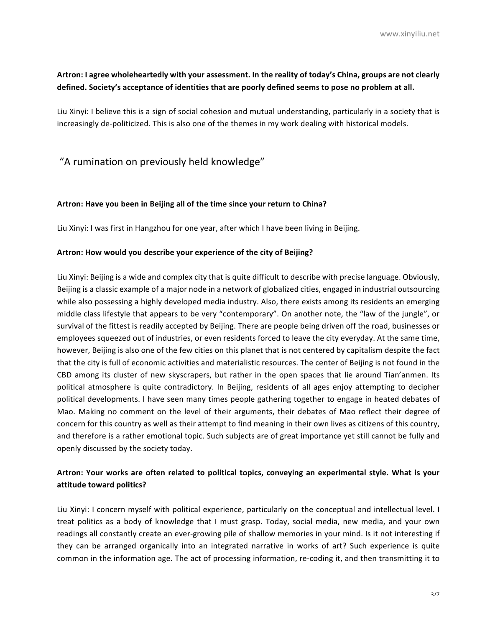## Artron: I agree wholeheartedly with your assessment. In the reality of today's China, groups are not clearly defined. Society's acceptance of identities that are poorly defined seems to pose no problem at all.

Liu Xinyi: I believe this is a sign of social cohesion and mutual understanding, particularly in a society that is increasingly de-politicized. This is also one of the themes in my work dealing with historical models.

# "A rumination on previously held knowledge"

### Artron: Have you been in Beijing all of the time since your return to China?

Liu Xinyi: I was first in Hangzhou for one year, after which I have been living in Beijing.

### Artron: How would you describe your experience of the city of Beijing?

Liu Xinyi: Beijing is a wide and complex city that is quite difficult to describe with precise language. Obviously, Beijing is a classic example of a major node in a network of globalized cities, engaged in industrial outsourcing while also possessing a highly developed media industry. Also, there exists among its residents an emerging middle class lifestyle that appears to be very "contemporary". On another note, the "law of the jungle", or survival of the fittest is readily accepted by Beijing. There are people being driven off the road, businesses or employees squeezed out of industries, or even residents forced to leave the city everyday. At the same time, however, Beijing is also one of the few cities on this planet that is not centered by capitalism despite the fact that the city is full of economic activities and materialistic resources. The center of Beijing is not found in the CBD among its cluster of new skyscrapers, but rather in the open spaces that lie around Tian'anmen. Its political atmosphere is quite contradictory. In Beijing, residents of all ages enjoy attempting to decipher political developments. I have seen many times people gathering together to engage in heated debates of Mao. Making no comment on the level of their arguments, their debates of Mao reflect their degree of concern for this country as well as their attempt to find meaning in their own lives as citizens of this country, and therefore is a rather emotional topic. Such subjects are of great importance yet still cannot be fully and openly discussed by the society today.

## Artron: Your works are often related to political topics, conveying an experimental style. What is your **attitude toward politics?**

Liu Xinyi: I concern myself with political experience, particularly on the conceptual and intellectual level. I treat politics as a body of knowledge that I must grasp. Today, social media, new media, and your own readings all constantly create an ever-growing pile of shallow memories in your mind. Is it not interesting if they can be arranged organically into an integrated narrative in works of art? Such experience is quite common in the information age. The act of processing information, re-coding it, and then transmitting it to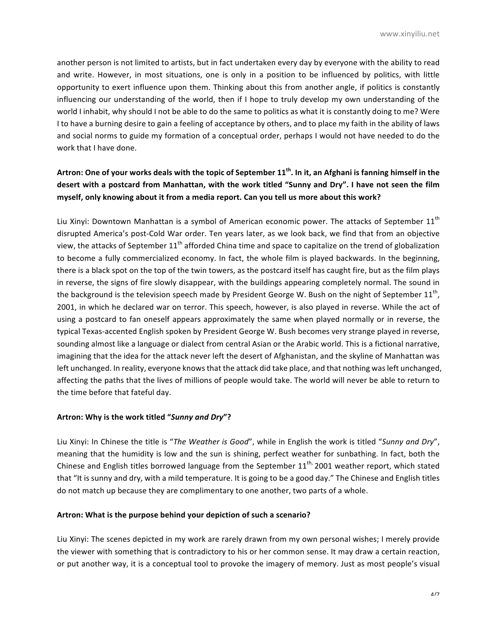another person is not limited to artists, but in fact undertaken every day by everyone with the ability to read and write. However, in most situations, one is only in a position to be influenced by politics, with little opportunity to exert influence upon them. Thinking about this from another angle, if politics is constantly influencing our understanding of the world, then if I hope to truly develop my own understanding of the world I inhabit, why should I not be able to do the same to politics as what it is constantly doing to me? Were I to have a burning desire to gain a feeling of acceptance by others, and to place my faith in the ability of laws and social norms to guide my formation of a conceptual order, perhaps I would not have needed to do the work that I have done.

# Artron: One of your works deals with the topic of September 11<sup>th</sup>. In it, an Afghani is fanning himself in the desert with a postcard from Manhattan, with the work titled "Sunny and Dry". I have not seen the film myself, only knowing about it from a media report. Can you tell us more about this work?

Liu Xinyi: Downtown Manhattan is a symbol of American economic power. The attacks of September  $11<sup>th</sup>$ disrupted America's post-Cold War order. Ten years later, as we look back, we find that from an objective view, the attacks of September  $11<sup>th</sup>$  afforded China time and space to capitalize on the trend of globalization to become a fully commercialized economy. In fact, the whole film is played backwards. In the beginning, there is a black spot on the top of the twin towers, as the postcard itself has caught fire, but as the film plays in reverse, the signs of fire slowly disappear, with the buildings appearing completely normal. The sound in the background is the television speech made by President George W. Bush on the night of September  $11^{th}$ , 2001, in which he declared war on terror. This speech, however, is also played in reverse. While the act of using a postcard to fan oneself appears approximately the same when played normally or in reverse, the typical Texas-accented English spoken by President George W. Bush becomes very strange played in reverse, sounding almost like a language or dialect from central Asian or the Arabic world. This is a fictional narrative, imagining that the idea for the attack never left the desert of Afghanistan, and the skyline of Manhattan was left unchanged. In reality, everyone knows that the attack did take place, and that nothing was left unchanged, affecting the paths that the lives of millions of people would take. The world will never be able to return to the time before that fateful day.

### Artron: Why is the work titled "Sunny and Dry"?

Liu Xinyi: In Chinese the title is "The Weather is Good", while in English the work is titled "Sunny and Dry", meaning that the humidity is low and the sun is shining, perfect weather for sunbathing. In fact, both the Chinese and English titles borrowed language from the September  $11<sup>th</sup>$ , 2001 weather report, which stated that "It is sunny and dry, with a mild temperature. It is going to be a good day." The Chinese and English titles do not match up because they are complimentary to one another, two parts of a whole.

### Artron: What is the purpose behind your depiction of such a scenario?

Liu Xinyi: The scenes depicted in my work are rarely drawn from my own personal wishes; I merely provide the viewer with something that is contradictory to his or her common sense. It may draw a certain reaction, or put another way, it is a conceptual tool to provoke the imagery of memory. Just as most people's visual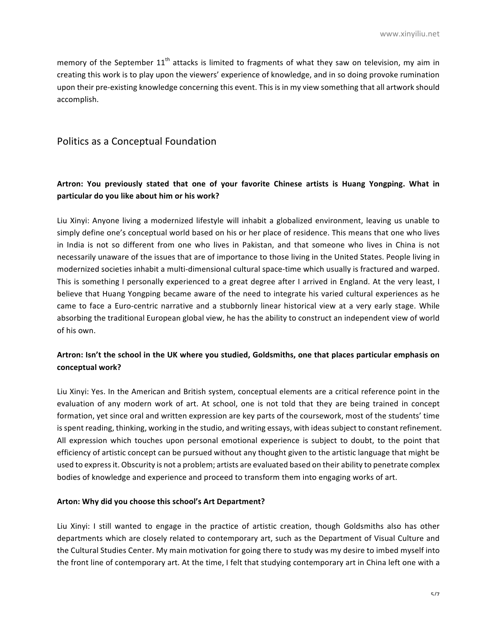memory of the September  $11<sup>th</sup>$  attacks is limited to fragments of what they saw on television, my aim in creating this work is to play upon the viewers' experience of knowledge, and in so doing provoke rumination upon their pre-existing knowledge concerning this event. This is in my view something that all artwork should accomplish. 

### Politics as a Conceptual Foundation

## Artron: You previously stated that one of your favorite Chinese artists is Huang Yongping. What in particular do you like about him or his work?

Liu Xinyi: Anyone living a modernized lifestyle will inhabit a globalized environment, leaving us unable to simply define one's conceptual world based on his or her place of residence. This means that one who lives in India is not so different from one who lives in Pakistan, and that someone who lives in China is not necessarily unaware of the issues that are of importance to those living in the United States. People living in modernized societies inhabit a multi-dimensional cultural space-time which usually is fractured and warped. This is something I personally experienced to a great degree after I arrived in England. At the very least, I believe that Huang Yongping became aware of the need to integrate his varied cultural experiences as he came to face a Euro-centric narrative and a stubbornly linear historical view at a very early stage. While absorbing the traditional European global view, he has the ability to construct an independent view of world of his own.

## Artron: Isn't the school in the UK where you studied, Goldsmiths, one that places particular emphasis on **conceptual work?**

Liu Xinyi: Yes. In the American and British system, conceptual elements are a critical reference point in the evaluation of any modern work of art. At school, one is not told that they are being trained in concept formation, yet since oral and written expression are key parts of the coursework, most of the students' time is spent reading, thinking, working in the studio, and writing essays, with ideas subject to constant refinement. All expression which touches upon personal emotional experience is subject to doubt, to the point that efficiency of artistic concept can be pursued without any thought given to the artistic language that might be used to express it. Obscurity is not a problem; artists are evaluated based on their ability to penetrate complex bodies of knowledge and experience and proceed to transform them into engaging works of art.

### Arton: Why did you choose this school's Art Department?

Liu Xinyi: I still wanted to engage in the practice of artistic creation, though Goldsmiths also has other departments which are closely related to contemporary art, such as the Department of Visual Culture and the Cultural Studies Center. My main motivation for going there to study was my desire to imbed myself into the front line of contemporary art. At the time, I felt that studying contemporary art in China left one with a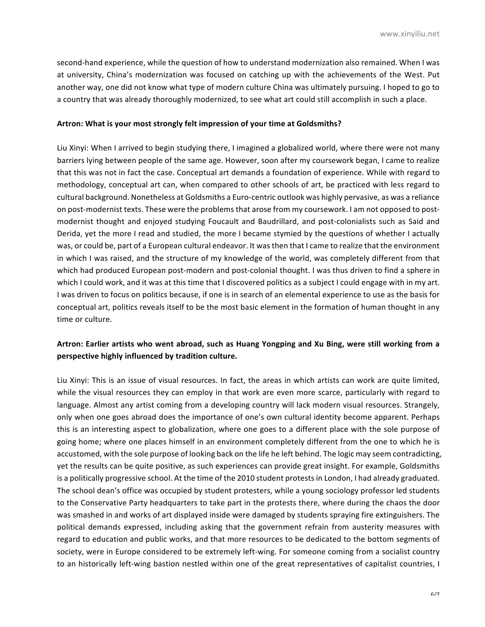second-hand experience, while the question of how to understand modernization also remained. When I was at university, China's modernization was focused on catching up with the achievements of the West. Put another way, one did not know what type of modern culture China was ultimately pursuing. I hoped to go to a country that was already thoroughly modernized, to see what art could still accomplish in such a place.

### Artron: What is your most strongly felt impression of your time at Goldsmiths?

Liu Xinyi: When I arrived to begin studying there, I imagined a globalized world, where there were not many barriers lying between people of the same age. However, soon after my coursework began, I came to realize that this was not in fact the case. Conceptual art demands a foundation of experience. While with regard to methodology, conceptual art can, when compared to other schools of art, be practiced with less regard to cultural background. Nonetheless at Goldsmiths a Euro-centric outlook was highly pervasive, as was a reliance on post-modernist texts. These were the problems that arose from my coursework. I am not opposed to postmodernist thought and enjoyed studying Foucault and Baudrillard, and post-colonialists such as Said and Derida, yet the more I read and studied, the more I became stymied by the questions of whether I actually was, or could be, part of a European cultural endeavor. It was then that I came to realize that the environment in which I was raised, and the structure of my knowledge of the world, was completely different from that which had produced European post-modern and post-colonial thought. I was thus driven to find a sphere in which I could work, and it was at this time that I discovered politics as a subject I could engage with in my art. I was driven to focus on politics because, if one is in search of an elemental experience to use as the basis for conceptual art, politics reveals itself to be the most basic element in the formation of human thought in any time or culture.

## Artron: Earlier artists who went abroad, such as Huang Yongping and Xu Bing, were still working from a perspective highly influenced by tradition culture.

Liu Xinyi: This is an issue of visual resources. In fact, the areas in which artists can work are quite limited, while the visual resources they can employ in that work are even more scarce, particularly with regard to language. Almost any artist coming from a developing country will lack modern visual resources. Strangely, only when one goes abroad does the importance of one's own cultural identity become apparent. Perhaps this is an interesting aspect to globalization, where one goes to a different place with the sole purpose of going home; where one places himself in an environment completely different from the one to which he is accustomed, with the sole purpose of looking back on the life he left behind. The logic may seem contradicting, yet the results can be quite positive, as such experiences can provide great insight. For example, Goldsmiths is a politically progressive school. At the time of the 2010 student protests in London, I had already graduated. The school dean's office was occupied by student protesters, while a young sociology professor led students to the Conservative Party headquarters to take part in the protests there, where during the chaos the door was smashed in and works of art displayed inside were damaged by students spraying fire extinguishers. The political demands expressed, including asking that the government refrain from austerity measures with regard to education and public works, and that more resources to be dedicated to the bottom segments of society, were in Europe considered to be extremely left-wing. For someone coming from a socialist country to an historically left-wing bastion nestled within one of the great representatives of capitalist countries, I